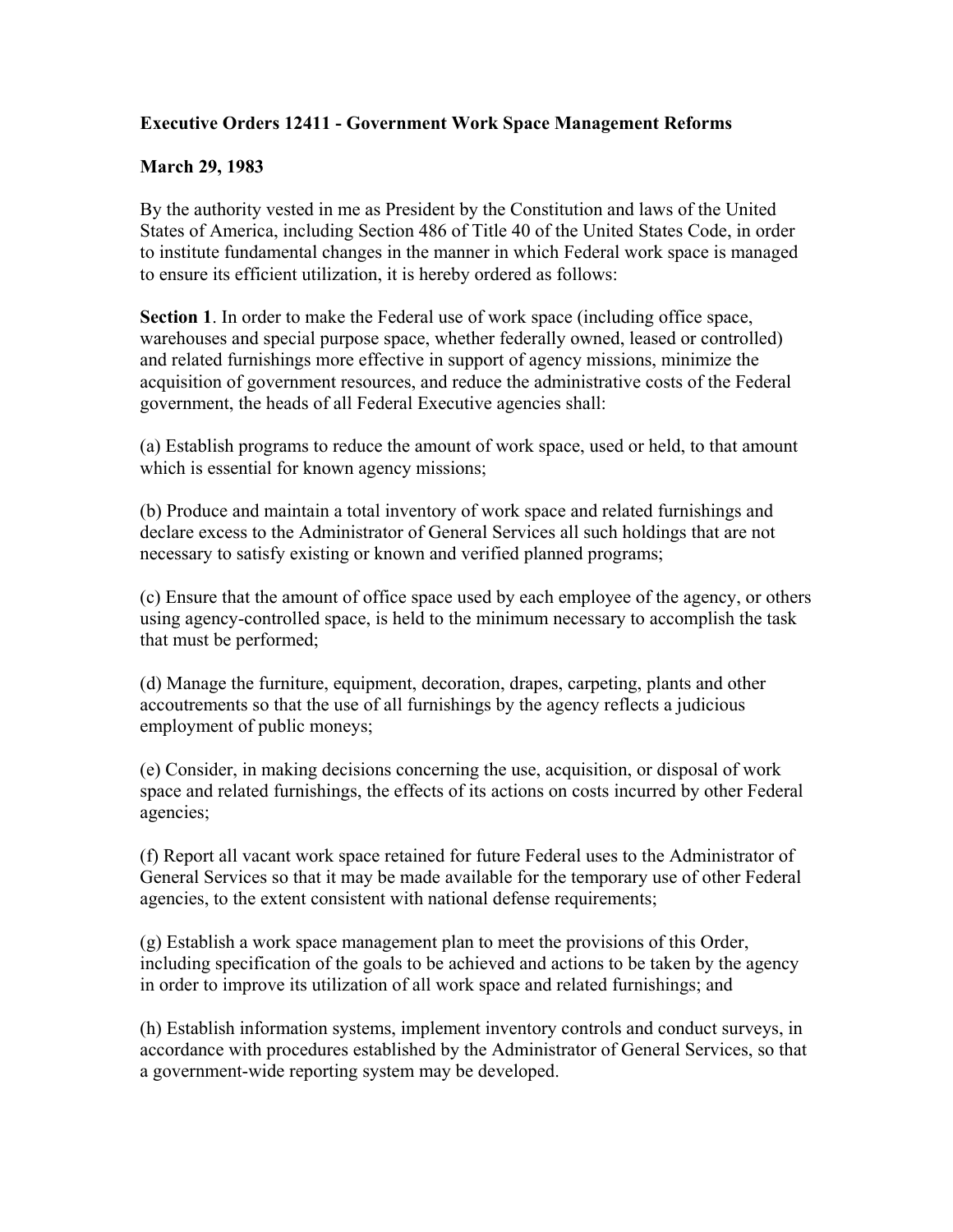## **Executive Orders 12411 - Government Work Space Management Reforms**

## **March 29, 1983**

By the authority vested in me as President by the Constitution and laws of the United States of America, including Section 486 of Title 40 of the United States Code, in order to institute fundamental changes in the manner in which Federal work space is managed to ensure its efficient utilization, it is hereby ordered as follows:

**Section 1**. In order to make the Federal use of work space (including office space, warehouses and special purpose space, whether federally owned, leased or controlled) and related furnishings more effective in support of agency missions, minimize the acquisition of government resources, and reduce the administrative costs of the Federal government, the heads of all Federal Executive agencies shall:

(a) Establish programs to reduce the amount of work space, used or held, to that amount which is essential for known agency missions;

(b) Produce and maintain a total inventory of work space and related furnishings and declare excess to the Administrator of General Services all such holdings that are not necessary to satisfy existing or known and verified planned programs;

(c) Ensure that the amount of office space used by each employee of the agency, or others using agency-controlled space, is held to the minimum necessary to accomplish the task that must be performed;

(d) Manage the furniture, equipment, decoration, drapes, carpeting, plants and other accoutrements so that the use of all furnishings by the agency reflects a judicious employment of public moneys;

(e) Consider, in making decisions concerning the use, acquisition, or disposal of work space and related furnishings, the effects of its actions on costs incurred by other Federal agencies;

(f) Report all vacant work space retained for future Federal uses to the Administrator of General Services so that it may be made available for the temporary use of other Federal agencies, to the extent consistent with national defense requirements;

(g) Establish a work space management plan to meet the provisions of this Order, including specification of the goals to be achieved and actions to be taken by the agency in order to improve its utilization of all work space and related furnishings; and

(h) Establish information systems, implement inventory controls and conduct surveys, in accordance with procedures established by the Administrator of General Services, so that a government-wide reporting system may be developed.